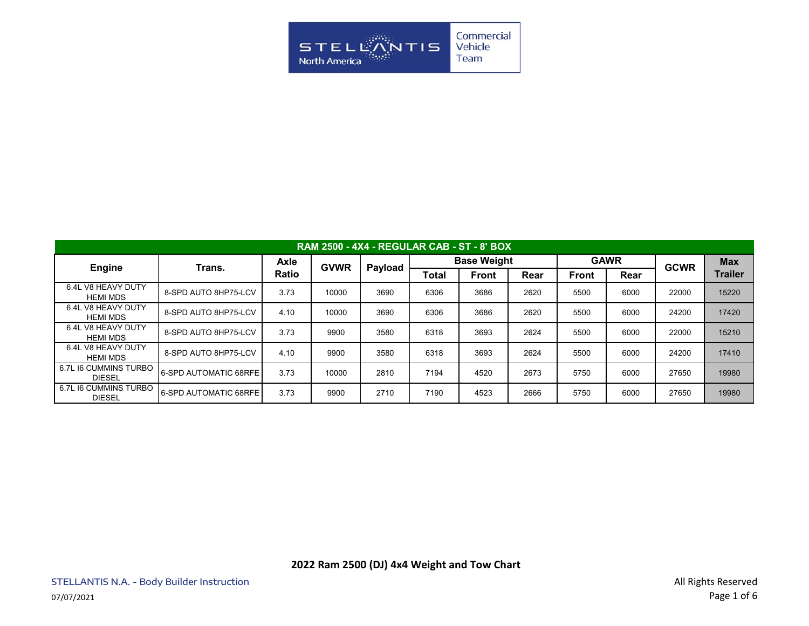

| <b>RAM 2500 - 4X4 - REGULAR CAB - ST - 8' BOX</b> |                       |              |             |         |                    |              |      |              |             |             |                |  |  |  |
|---------------------------------------------------|-----------------------|--------------|-------------|---------|--------------------|--------------|------|--------------|-------------|-------------|----------------|--|--|--|
|                                                   | Trans.                | Axle         | <b>GVWR</b> | Payload | <b>Base Weight</b> |              |      |              | <b>GAWR</b> | <b>GCWR</b> | <b>Max</b>     |  |  |  |
| <b>Engine</b>                                     |                       | <b>Ratio</b> |             |         | Total              | <b>Front</b> | Rear | <b>Front</b> | Rear        |             | <b>Trailer</b> |  |  |  |
| 6.4L V8 HEAVY DUTY<br><b>HEMI MDS</b>             | 8-SPD AUTO 8HP75-LCV  | 3.73         | 10000       | 3690    | 6306               | 3686         | 2620 | 5500         | 6000        | 22000       | 15220          |  |  |  |
| 6.4L V8 HEAVY DUTY<br><b>HEMI MDS</b>             | 8-SPD AUTO 8HP75-LCV  | 4.10         | 10000       | 3690    | 6306               | 3686         | 2620 | 5500         | 6000        | 24200       | 17420          |  |  |  |
| 6.4L V8 HEAVY DUTY<br><b>HEMI MDS</b>             | 8-SPD AUTO 8HP75-LCV  | 3.73         | 9900        | 3580    | 6318               | 3693         | 2624 | 5500         | 6000        | 22000       | 15210          |  |  |  |
| 6.4L V8 HEAVY DUTY<br>HEMI MDS                    | 8-SPD AUTO 8HP75-LCV  | 4.10         | 9900        | 3580    | 6318               | 3693         | 2624 | 5500         | 6000        | 24200       | 17410          |  |  |  |
| 6.7L I6 CUMMINS TURBO<br><b>DIESEL</b>            | 6-SPD AUTOMATIC 68RFE | 3.73         | 10000       | 2810    | 7194               | 4520         | 2673 | 5750         | 6000        | 27650       | 19980          |  |  |  |
| 6.7L I6 CUMMINS TURBO<br><b>DIESEL</b>            | 6-SPD AUTOMATIC 68RFE | 3.73         | 9900        | 2710    | 7190               | 4523         | 2666 | 5750         | 6000        | 27650       | 19980          |  |  |  |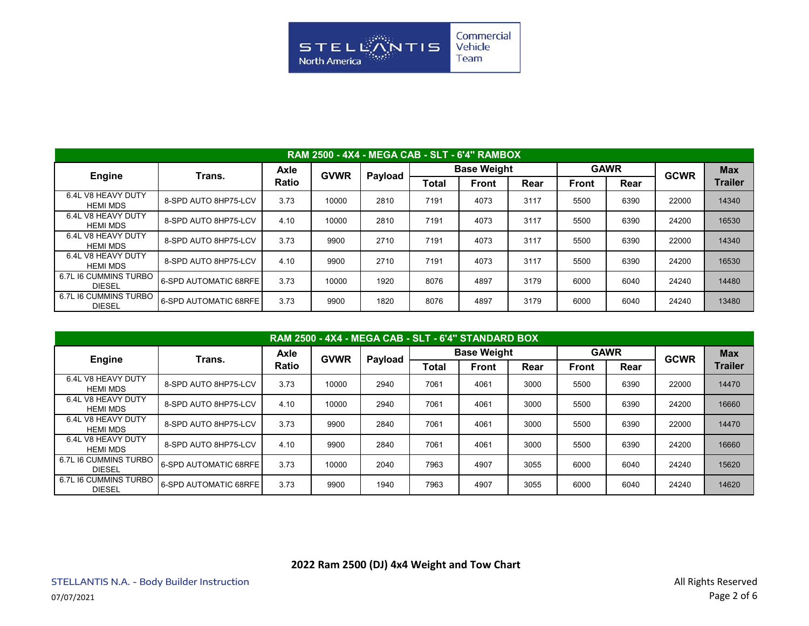

| <b>RAM 2500 - 4X4 - MEGA CAB - SLT - 6'4" RAMBOX</b> |                       |       |             |         |       |                    |      |              |             |             |                |  |  |
|------------------------------------------------------|-----------------------|-------|-------------|---------|-------|--------------------|------|--------------|-------------|-------------|----------------|--|--|
| <b>Engine</b>                                        | Trans.                | Axle  | <b>GVWR</b> | Payload |       | <b>Base Weight</b> |      |              | <b>GAWR</b> | <b>GCWR</b> | <b>Max</b>     |  |  |
|                                                      |                       | Ratio |             |         | Total | <b>Front</b>       | Rear | <b>Front</b> | Rear        |             | <b>Trailer</b> |  |  |
| 6.4L V8 HEAVY DUTY<br><b>HEMI MDS</b>                | 8-SPD AUTO 8HP75-LCV  | 3.73  | 10000       | 2810    | 7191  | 4073               | 3117 | 5500         | 6390        | 22000       | 14340          |  |  |
| 6.4L V8 HEAVY DUTY<br><b>HEMI MDS</b>                | 8-SPD AUTO 8HP75-LCV  | 4.10  | 10000       | 2810    | 7191  | 4073               | 3117 | 5500         | 6390        | 24200       | 16530          |  |  |
| 6.4L V8 HEAVY DUTY<br><b>HEMI MDS</b>                | 8-SPD AUTO 8HP75-LCV  | 3.73  | 9900        | 2710    | 7191  | 4073               | 3117 | 5500         | 6390        | 22000       | 14340          |  |  |
| 6.4L V8 HEAVY DUTY<br><b>HEMI MDS</b>                | 8-SPD AUTO 8HP75-LCV  | 4.10  | 9900        | 2710    | 7191  | 4073               | 3117 | 5500         | 6390        | 24200       | 16530          |  |  |
| 6.7L I6 CUMMINS TURBO<br><b>DIESEL</b>               | 6-SPD AUTOMATIC 68RFE | 3.73  | 10000       | 1920    | 8076  | 4897               | 3179 | 6000         | 6040        | 24240       | 14480          |  |  |
| 6.7L I6 CUMMINS TURBO<br><b>DIESEL</b>               | 6-SPD AUTOMATIC 68RFE | 3.73  | 9900        | 1820    | 8076  | 4897               | 3179 | 6000         | 6040        | 24240       | 13480          |  |  |

| RAM 2500 - 4X4 - MEGA CAB - SLT - 6'4" STANDARD BOX |                       |              |             |         |       |                    |      |              |      |             |            |  |  |
|-----------------------------------------------------|-----------------------|--------------|-------------|---------|-------|--------------------|------|--------------|------|-------------|------------|--|--|
| <b>Engine</b>                                       | Trans.                | Axle         | <b>GVWR</b> |         |       | <b>Base Weight</b> |      | <b>GAWR</b>  |      | <b>GCWR</b> | <b>Max</b> |  |  |
|                                                     |                       | <b>Ratio</b> |             | Payload | Total | <b>Front</b>       | Rear | <b>Front</b> | Rear |             | Trailer    |  |  |
| 6.4L V8 HEAVY DUTY<br><b>HEMI MDS</b>               | 8-SPD AUTO 8HP75-LCV  | 3.73         | 10000       | 2940    | 7061  | 4061               | 3000 | 5500         | 6390 | 22000       | 14470      |  |  |
| 6.4L V8 HEAVY DUTY<br><b>HEMI MDS</b>               | 8-SPD AUTO 8HP75-LCV  | 4.10         | 10000       | 2940    | 7061  | 4061               | 3000 | 5500         | 6390 | 24200       | 16660      |  |  |
| 6.4L V8 HEAVY DUTY<br><b>HEMI MDS</b>               | 8-SPD AUTO 8HP75-LCV  | 3.73         | 9900        | 2840    | 7061  | 4061               | 3000 | 5500         | 6390 | 22000       | 14470      |  |  |
| 6.4L V8 HEAVY DUTY<br><b>HEMI MDS</b>               | 8-SPD AUTO 8HP75-LCV  | 4.10         | 9900        | 2840    | 7061  | 4061               | 3000 | 5500         | 6390 | 24200       | 16660      |  |  |
| 6.7L I6 CUMMINS TURBO<br><b>DIESEL</b>              | 6-SPD AUTOMATIC 68RFE | 3.73         | 10000       | 2040    | 7963  | 4907               | 3055 | 6000         | 6040 | 24240       | 15620      |  |  |
| 6.7L I6 CUMMINS TURBO<br><b>DIESEL</b>              | 6-SPD AUTOMATIC 68RFE | 3.73         | 9900        | 1940    | 7963  | 4907               | 3055 | 6000         | 6040 | 24240       | 14620      |  |  |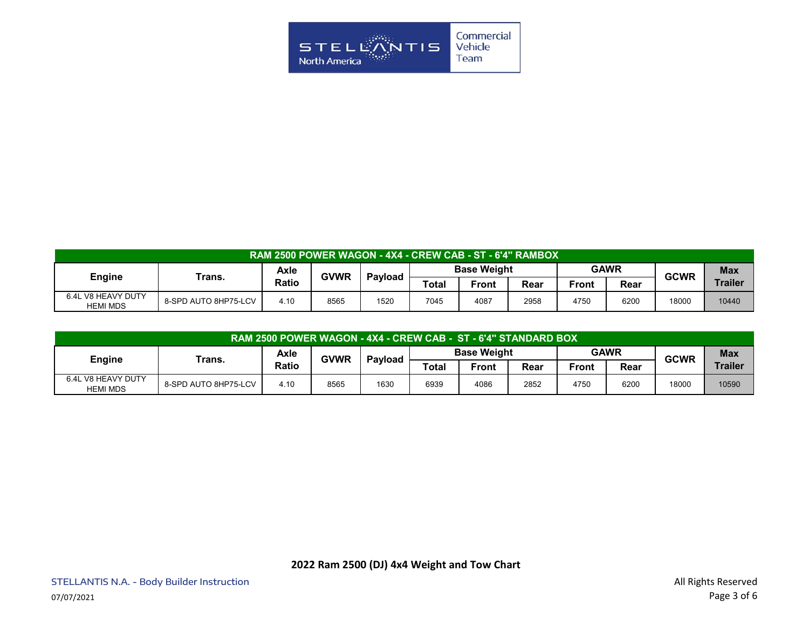

| RAM 2500 POWER WAGON - 4X4 - CREW CAB - ST - 6'4" RAMBOX' |                      |       |             |         |                    |       |      |             |      |             |                |  |
|-----------------------------------------------------------|----------------------|-------|-------------|---------|--------------------|-------|------|-------------|------|-------------|----------------|--|
| Engine                                                    | Trans.               | Axle  | <b>GVWR</b> | Pavload | <b>Base Weight</b> |       |      | <b>GAWR</b> |      | <b>GCWR</b> | <b>Max</b>     |  |
|                                                           |                      | Ratio |             |         | Total              | Front | Rear | Front       | Rear |             | <b>Trailer</b> |  |
| 6.4L V8 HEAVY DUTY<br><b>HEMI MDS</b>                     | 8-SPD AUTO 8HP75-LCV | 4.10  | 8565        | 1520    | 7045               | 4087  | 2958 | 4750        | 6200 | 18000       | 10440          |  |

| RAM 2500 POWER WAGON - 4X4 - CREW CAB - ST - 6'4" STANDARD BOX |                      |              |             |                |                    |       |      |              |      |             |                |  |
|----------------------------------------------------------------|----------------------|--------------|-------------|----------------|--------------------|-------|------|--------------|------|-------------|----------------|--|
| <b>Engine</b>                                                  | Trans.               | Axle         | <b>GVWR</b> | <b>Pavload</b> | <b>Base Weight</b> |       |      | <b>GAWR</b>  |      | <b>GCWR</b> | <b>Max</b>     |  |
|                                                                |                      | <b>Ratio</b> |             |                | Total              | Front | Rear | <b>Front</b> | Rear |             | <b>Trailer</b> |  |
| 6.4L V8 HEAVY DUTY<br><b>HEMI MDS</b>                          | 8-SPD AUTO 8HP75-LCV | 4.10         | 8565        | 1630           | 6939               | 4086  | 2852 | 4750         | 6200 | 18000       | 10590          |  |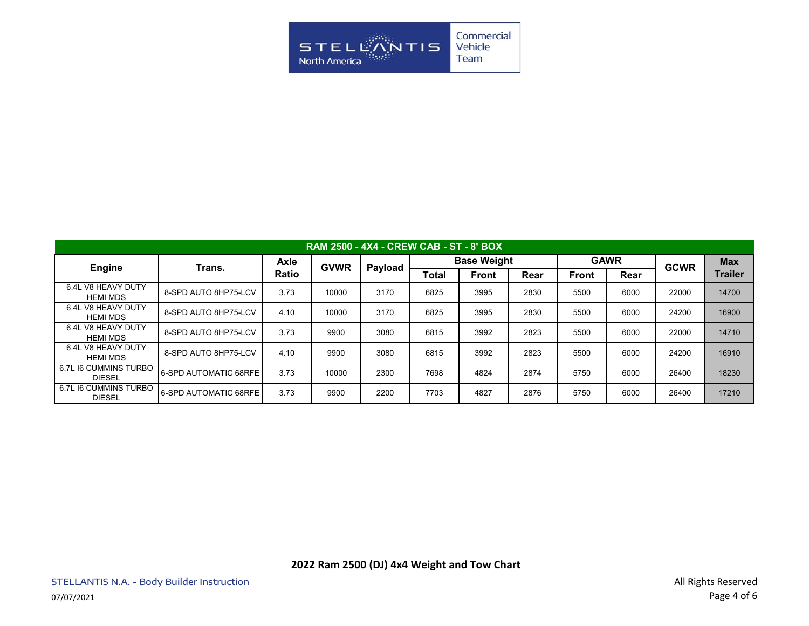

| <b>RAM 2500 - 4X4 - CREW CAB - ST - 8' BOX</b> |                       |              |             |         |       |                    |      |              |             |             |            |  |  |
|------------------------------------------------|-----------------------|--------------|-------------|---------|-------|--------------------|------|--------------|-------------|-------------|------------|--|--|
| Engine                                         | Trans.                | Axle         | <b>GVWR</b> | Payload |       | <b>Base Weight</b> |      |              | <b>GAWR</b> | <b>GCWR</b> | <b>Max</b> |  |  |
|                                                |                       | <b>Ratio</b> |             |         | Total | <b>Front</b>       | Rear | <b>Front</b> | Rear        |             | Trailer    |  |  |
| 6.4L V8 HEAVY DUTY<br><b>HEMI MDS</b>          | 8-SPD AUTO 8HP75-LCV  | 3.73         | 10000       | 3170    | 6825  | 3995               | 2830 | 5500         | 6000        | 22000       | 14700      |  |  |
| 6.4L V8 HEAVY DUTY<br><b>HEMI MDS</b>          | 8-SPD AUTO 8HP75-LCV  | 4.10         | 10000       | 3170    | 6825  | 3995               | 2830 | 5500         | 6000        | 24200       | 16900      |  |  |
| 6.4L V8 HEAVY DUTY<br><b>HEMI MDS</b>          | 8-SPD AUTO 8HP75-LCV  | 3.73         | 9900        | 3080    | 6815  | 3992               | 2823 | 5500         | 6000        | 22000       | 14710      |  |  |
| 6.4L V8 HEAVY DUTY<br>HEMI MDS                 | 8-SPD AUTO 8HP75-LCV  | 4.10         | 9900        | 3080    | 6815  | 3992               | 2823 | 5500         | 6000        | 24200       | 16910      |  |  |
| 6.7L I6 CUMMINS TURBO<br><b>DIESEL</b>         | 6-SPD AUTOMATIC 68RFE | 3.73         | 10000       | 2300    | 7698  | 4824               | 2874 | 5750         | 6000        | 26400       | 18230      |  |  |
| 6.7L I6 CUMMINS TURBO<br><b>DIESEL</b>         | 6-SPD AUTOMATIC 68RFE | 3.73         | 9900        | 2200    | 7703  | 4827               | 2876 | 5750         | 6000        | 26400       | 17210      |  |  |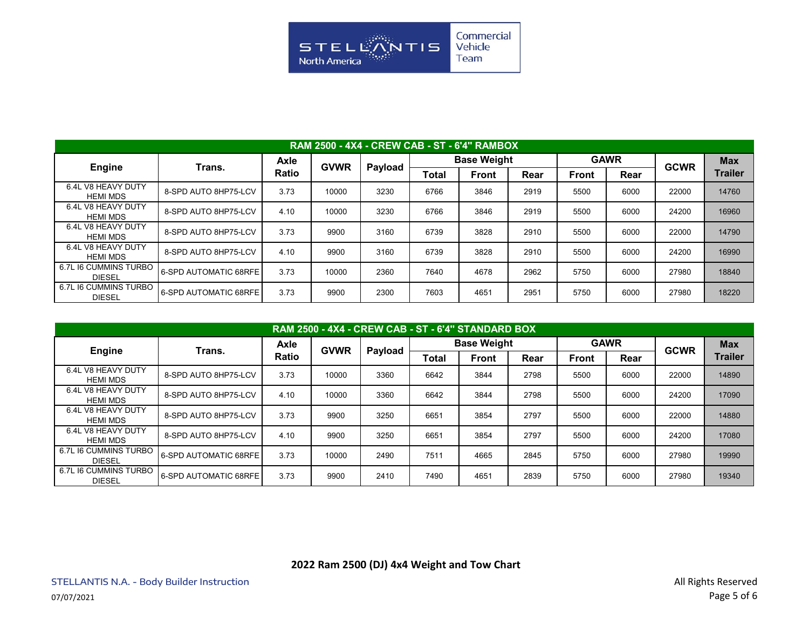

| <b>RAM 2500 - 4X4 - CREW CAB - ST - 6'4" RAMBOX</b> |                       |              |             |         |                    |              |      |              |             |             |                |  |  |
|-----------------------------------------------------|-----------------------|--------------|-------------|---------|--------------------|--------------|------|--------------|-------------|-------------|----------------|--|--|
| <b>Engine</b>                                       | Trans.                | <b>Axle</b>  | <b>GVWR</b> | Payload | <b>Base Weight</b> |              |      |              | <b>GAWR</b> | <b>GCWR</b> | <b>Max</b>     |  |  |
|                                                     |                       | <b>Ratio</b> |             |         | Total              | <b>Front</b> | Rear | <b>Front</b> | Rear        |             | <b>Trailer</b> |  |  |
| 6.4L V8 HEAVY DUTY<br><b>HEMI MDS</b>               | 8-SPD AUTO 8HP75-LCV  | 3.73         | 10000       | 3230    | 6766               | 3846         | 2919 | 5500         | 6000        | 22000       | 14760          |  |  |
| 6.4L V8 HEAVY DUTY<br><b>HEMI MDS</b>               | 8-SPD AUTO 8HP75-LCV  | 4.10         | 10000       | 3230    | 6766               | 3846         | 2919 | 5500         | 6000        | 24200       | 16960          |  |  |
| 6.4L V8 HEAVY DUTY<br><b>HEMI MDS</b>               | 8-SPD AUTO 8HP75-LCV  | 3.73         | 9900        | 3160    | 6739               | 3828         | 2910 | 5500         | 6000        | 22000       | 14790          |  |  |
| 6.4L V8 HEAVY DUTY<br><b>HEMI MDS</b>               | 8-SPD AUTO 8HP75-LCV  | 4.10         | 9900        | 3160    | 6739               | 3828         | 2910 | 5500         | 6000        | 24200       | 16990          |  |  |
| 6.7L I6 CUMMINS TURBO<br><b>DIESEL</b>              | 6-SPD AUTOMATIC 68RFE | 3.73         | 10000       | 2360    | 7640               | 4678         | 2962 | 5750         | 6000        | 27980       | 18840          |  |  |
| 6.7L I6 CUMMINS TURBO<br><b>DIESEL</b>              | 6-SPD AUTOMATIC 68RFE | 3.73         | 9900        | 2300    | 7603               | 4651         | 2951 | 5750         | 6000        | 27980       | 18220          |  |  |

| <b>RAM 2500 - 4X4 - CREW CAB - ST - 6'4" STANDARD BOX</b> |                       |              |             |         |       |                    |      |              |             |             |                |  |  |
|-----------------------------------------------------------|-----------------------|--------------|-------------|---------|-------|--------------------|------|--------------|-------------|-------------|----------------|--|--|
| <b>Engine</b>                                             | Trans.                | Axle         | <b>GVWR</b> | Payload |       | <b>Base Weight</b> |      |              | <b>GAWR</b> | <b>GCWR</b> | <b>Max</b>     |  |  |
|                                                           |                       | <b>Ratio</b> |             |         | Total | <b>Front</b>       | Rear | <b>Front</b> | Rear        |             | <b>Trailer</b> |  |  |
| 6.4L V8 HEAVY DUTY<br><b>HEMI MDS</b>                     | 8-SPD AUTO 8HP75-LCV  | 3.73         | 10000       | 3360    | 6642  | 3844               | 2798 | 5500         | 6000        | 22000       | 14890          |  |  |
| 6.4L V8 HEAVY DUTY<br><b>HEMI MDS</b>                     | 8-SPD AUTO 8HP75-LCV  | 4.10         | 10000       | 3360    | 6642  | 3844               | 2798 | 5500         | 6000        | 24200       | 17090          |  |  |
| 6.4L V8 HEAVY DUTY<br><b>HEMI MDS</b>                     | 8-SPD AUTO 8HP75-LCV  | 3.73         | 9900        | 3250    | 6651  | 3854               | 2797 | 5500         | 6000        | 22000       | 14880          |  |  |
| 6.4L V8 HEAVY DUTY<br><b>HEMI MDS</b>                     | 8-SPD AUTO 8HP75-LCV  | 4.10         | 9900        | 3250    | 6651  | 3854               | 2797 | 5500         | 6000        | 24200       | 17080          |  |  |
| 6.7L I6 CUMMINS TURBO<br><b>DIESEL</b>                    | 6-SPD AUTOMATIC 68RFE | 3.73         | 10000       | 2490    | 7511  | 4665               | 2845 | 5750         | 6000        | 27980       | 19990          |  |  |
| 6.7L I6 CUMMINS TURBO<br><b>DIESEL</b>                    | 6-SPD AUTOMATIC 68RFE | 3.73         | 9900        | 2410    | 7490  | 4651               | 2839 | 5750         | 6000        | 27980       | 19340          |  |  |